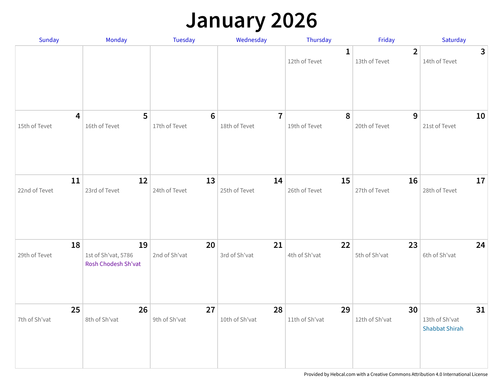## **January 2026**

| Sunday                                   | Monday                                                  | Tuesday                          | Wednesday                       | Thursday                     | Friday                          | Saturday                                      |
|------------------------------------------|---------------------------------------------------------|----------------------------------|---------------------------------|------------------------------|---------------------------------|-----------------------------------------------|
|                                          |                                                         |                                  |                                 | $\mathbf 1$<br>12th of Tevet | $\overline{2}$<br>13th of Tevet | $\mathbf{3}$<br>14th of Tevet                 |
| $\overline{\mathbf{4}}$<br>15th of Tevet | 5<br>16th of Tevet                                      | $6\phantom{1}6$<br>17th of Tevet | $\overline{7}$<br>18th of Tevet | 8<br>19th of Tevet           | 9<br>20th of Tevet              | 10<br>21st of Tevet                           |
| 11<br>22nd of Tevet                      | 12<br>23rd of Tevet                                     | 13<br>24th of Tevet              | 14<br>25th of Tevet             | 15<br>26th of Tevet          | 16<br>27th of Tevet             | 17<br>28th of Tevet                           |
| 18<br>29th of Tevet                      | 19<br>1st of Sh'vat, 5786<br><b>Rosh Chodesh Sh'vat</b> | 20<br>2nd of Sh'vat              | 21<br>3rd of Sh'vat             | 22<br>4th of Sh'vat          | 23<br>5th of Sh'vat             | 24<br>6th of Sh'vat                           |
| 25<br>7th of Sh'vat                      | 26<br>8th of Sh'vat                                     | 27<br>9th of Sh'vat              | 28<br>10th of Sh'vat            | 29<br>11th of Sh'vat         | 30<br>12th of Sh'vat            | 31<br>13th of Sh'vat<br><b>Shabbat Shirah</b> |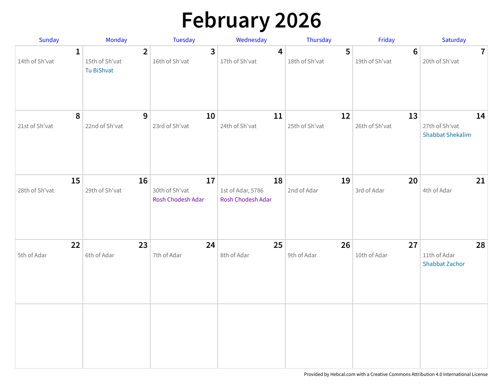# **February 2026**

| Sunday                         | Monday                                       | <b>Tuesday</b>                            | Wednesday                                    | Thursday             | Friday                           | Saturday                                        |
|--------------------------------|----------------------------------------------|-------------------------------------------|----------------------------------------------|----------------------|----------------------------------|-------------------------------------------------|
| $\mathbf{1}$<br>14th of Sh'vat | $\mathbf{2}$<br>15th of Sh'vat<br>Tu BiShvat | $\overline{\mathbf{3}}$<br>16th of Sh'vat | 4<br>17th of Sh'vat                          | 5<br>18th of Sh'vat  | $6\phantom{1}$<br>19th of Sh'vat | $\overline{7}$<br>20th of Sh'vat                |
| 8<br>21st of Sh'vat            | 9<br>22nd of Sh'vat                          | 10<br>23rd of Sh'vat                      | 11<br>24th of Sh'vat                         | 12<br>25th of Sh'vat | 13<br>26th of Sh'vat             | 14<br>27th of Sh'vat<br><b>Shabbat Shekalim</b> |
| 15<br>28th of Sh'vat           | 16<br>29th of Sh'vat                         | 17<br>30th of Sh'vat<br>Rosh Chodesh Adar | 18<br>1st of Adar, 5786<br>Rosh Chodesh Adar | 19<br>2nd of Adar    | 20<br>3rd of Adar                | 21<br>4th of Adar                               |
| 22<br>5th of Adar              | 23<br>6th of Adar                            | 24<br>7th of Adar                         | 25<br>8th of Adar                            | 26<br>9th of Adar    | 27<br>10th of Adar               | 28<br>11th of Adar<br><b>Shabbat Zachor</b>     |
|                                |                                              |                                           |                                              |                      |                                  |                                                 |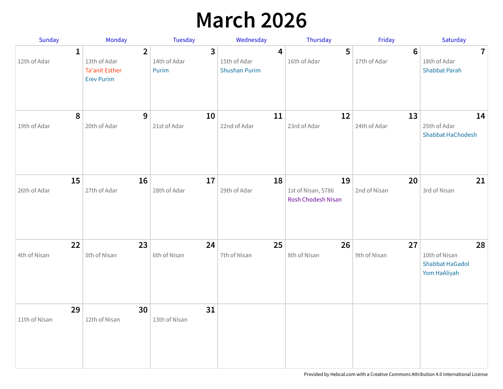## **March 2026**

| <b>Sunday</b>       | Monday                                                                       | Tuesday                                          | Wednesday                                                       | Thursday                                       | Friday                         | Saturday                                                      |
|---------------------|------------------------------------------------------------------------------|--------------------------------------------------|-----------------------------------------------------------------|------------------------------------------------|--------------------------------|---------------------------------------------------------------|
| 1<br>12th of Adar   | $\overline{2}$<br>13th of Adar<br><b>Ta'anit Esther</b><br><b>Erev Purim</b> | $\overline{\mathbf{3}}$<br>14th of Adar<br>Purim | $\overline{\mathbf{4}}$<br>15th of Adar<br><b>Shushan Purim</b> | 5<br>16th of Adar                              | $6\phantom{1}$<br>17th of Adar | $\overline{7}$<br>18th of Adar<br><b>Shabbat Parah</b>        |
| 8<br>19th of Adar   | 9<br>20th of Adar                                                            | 10<br>21st of Adar                               | 11<br>22nd of Adar                                              | 12<br>23rd of Adar                             | 13<br>24th of Adar             | 14<br>25th of Adar<br><b>Shabbat HaChodesh</b>                |
| 15<br>26th of Adar  | 16<br>27th of Adar                                                           | 17<br>28th of Adar                               | 18<br>29th of Adar                                              | 19<br>1st of Nisan, 5786<br>Rosh Chodesh Nisan | 20<br>2nd of Nisan             | 21<br>3rd of Nisan                                            |
| 22<br>4th of Nisan  | 23<br>5th of Nisan                                                           | 24<br>6th of Nisan                               | 25<br>7th of Nisan                                              | 26<br>8th of Nisan                             | 27<br>9th of Nisan             | 28<br>10th of Nisan<br><b>Shabbat HaGadol</b><br>Yom HaAliyah |
| 29<br>11th of Nisan | 30<br>12th of Nisan                                                          | 31<br>13th of Nisan                              |                                                                 |                                                |                                |                                                               |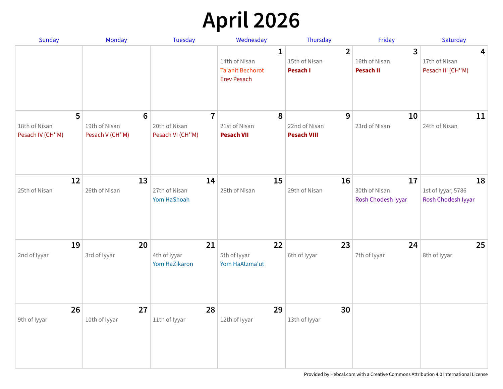# **April 2026**

| Sunday                                 | <b>Monday</b>                                       | <b>Tuesday</b>                                      | Wednesday                                                           | Thursday                                    | Friday                                              | Saturday                                       |
|----------------------------------------|-----------------------------------------------------|-----------------------------------------------------|---------------------------------------------------------------------|---------------------------------------------|-----------------------------------------------------|------------------------------------------------|
|                                        |                                                     |                                                     | 1<br>14th of Nisan<br><b>Ta'anit Bechorot</b><br><b>Erev Pesach</b> | $\overline{2}$<br>15th of Nisan<br>Pesach I | $\overline{3}$<br>16th of Nisan<br><b>Pesach II</b> | 4<br>17th of Nisan<br>Pesach III (CH"M)        |
| 5<br>18th of Nisan<br>Pesach IV (CH"M) | $6\phantom{1}6$<br>19th of Nisan<br>Pesach V (CH"M) | $\overline{7}$<br>20th of Nisan<br>Pesach VI (CH"M) | 8<br>21st of Nisan<br><b>Pesach VII</b>                             | 9<br>22nd of Nisan<br><b>Pesach VIII</b>    | 10<br>23rd of Nisan                                 | 11<br>24th of Nisan                            |
| 12<br>25th of Nisan                    | 13<br>26th of Nisan                                 | 14<br>27th of Nisan<br>Yom HaShoah                  | 15<br>28th of Nisan                                                 | 16<br>29th of Nisan                         | 17<br>30th of Nisan<br>Rosh Chodesh Iyyar           | 18<br>1st of Iyyar, 5786<br>Rosh Chodesh Iyyar |
| 19<br>2nd of Iyyar                     | 20<br>3rd of Iyyar                                  | 21<br>4th of Iyyar<br>Yom HaZikaron                 | 22<br>5th of Iyyar<br>Yom HaAtzma'ut                                | 23<br>6th of Iyyar                          | 24<br>7th of Iyyar                                  | 25<br>8th of Iyyar                             |
| 26<br>9th of Iyyar                     | 27<br>10th of Iyyar                                 | 28<br>11th of Iyyar                                 | 29<br>12th of Iyyar                                                 | 30<br>13th of Iyyar                         |                                                     |                                                |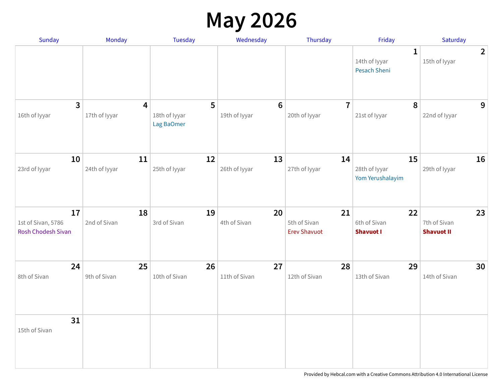## **May 2026**

| <b>Sunday</b>                                  | Monday                          | <b>Tuesday</b>                   | Wednesday                       | Thursday                                  | Friday                                               | Saturday                                |
|------------------------------------------------|---------------------------------|----------------------------------|---------------------------------|-------------------------------------------|------------------------------------------------------|-----------------------------------------|
|                                                |                                 |                                  |                                 |                                           | $\mathbf{1}$<br>14th of Iyyar<br><b>Pesach Sheni</b> | $\overline{2}$<br>15th of Iyyar         |
| $\overline{3}$<br>16th of Iyyar                | $\overline{4}$<br>17th of Iyyar | 5<br>18th of Iyyar<br>Lag BaOmer | $6\phantom{a}$<br>19th of Iyyar | $\overline{7}$<br>20th of Iyyar           | 8<br>21st of lyyar                                   | 9<br>22nd of Iyyar                      |
| 10<br>23rd of Iyyar                            | 11<br>24th of Iyyar             | 12<br>25th of Iyyar              | 13<br>26th of Iyyar             | 14<br>27th of Iyyar                       | 15<br>28th of Iyyar<br>Yom Yerushalayim              | 16<br>29th of Iyyar                     |
| 17<br>1st of Sivan, 5786<br>Rosh Chodesh Sivan | 18<br>2nd of Sivan              | 19<br>3rd of Sivan               | 20<br>4th of Sivan              | 21<br>5th of Sivan<br><b>Erev Shavuot</b> | 22<br>6th of Sivan<br><b>Shavuot I</b>               | 23<br>7th of Sivan<br><b>Shavuot II</b> |
| 24<br>8th of Sivan                             | 25<br>9th of Sivan              | 26<br>10th of Sivan              | 27<br>11th of Sivan             | 28<br>12th of Sivan                       | 29<br>13th of Sivan                                  | 30<br>14th of Sivan                     |
| 31<br>15th of Sivan                            |                                 |                                  |                                 |                                           |                                                      |                                         |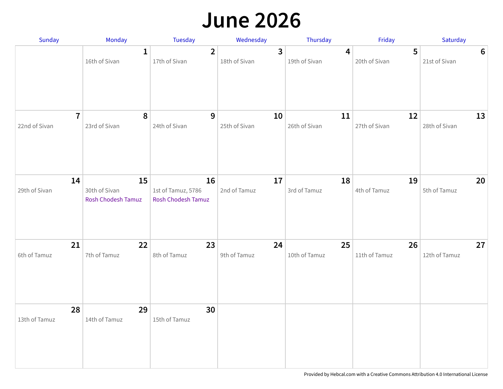#### **June 2026**

| Sunday              | Monday                                    | Tuesday                                               | Wednesday               | Thursday           | Friday             | Saturday           |
|---------------------|-------------------------------------------|-------------------------------------------------------|-------------------------|--------------------|--------------------|--------------------|
|                     | $\mathbf{1}$                              | $\overline{2}$                                        | $\overline{\mathbf{3}}$ | $\overline{4}$     | 5                  | 6                  |
|                     | 16th of Sivan                             | 17th of Sivan                                         | 18th of Sivan           | 19th of Sivan      | 20th of Sivan      | 21st of Sivan      |
| $\overline{7}$      | 8                                         | 9                                                     | 10                      | 11                 | 12                 | 13                 |
| 22nd of Sivan       | 23rd of Sivan                             | 24th of Sivan                                         | 25th of Sivan           | 26th of Sivan      | 27th of Sivan      | 28th of Sivan      |
| 14<br>29th of Sivan | 15<br>30th of Sivan<br>Rosh Chodesh Tamuz | 16<br>1st of Tamuz, 5786<br><b>Rosh Chodesh Tamuz</b> | 17<br>2nd of Tamuz      | 18<br>3rd of Tamuz | 19<br>4th of Tamuz | 20<br>5th of Tamuz |
| 21                  | 22                                        | 23                                                    | 24                      | 25                 | 26                 | 27                 |
| 6th of Tamuz        | 7th of Tamuz                              | 8th of Tamuz                                          | 9th of Tamuz            | 10th of Tamuz      | 11th of Tamuz      | 12th of Tamuz      |
| 28<br>13th of Tamuz | 29<br>14th of Tamuz                       | 30<br>15th of Tamuz                                   |                         |                    |                    |                    |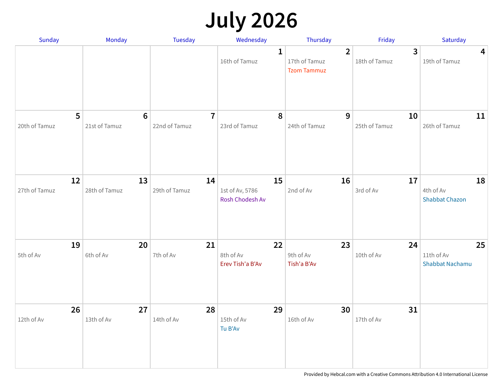## **July 2026**

| Sunday              | Monday                 | Tuesday                         | Wednesday                                | Thursday                                              | Friday                          | Saturday                                   |
|---------------------|------------------------|---------------------------------|------------------------------------------|-------------------------------------------------------|---------------------------------|--------------------------------------------|
|                     |                        |                                 | 1<br>16th of Tamuz                       | $\overline{2}$<br>17th of Tamuz<br><b>Tzom Tammuz</b> | $\overline{3}$<br>18th of Tamuz | 4<br>19th of Tamuz                         |
| 5<br>20th of Tamuz  | $6\,$<br>21st of Tamuz | $\overline{7}$<br>22nd of Tamuz | 8<br>23rd of Tamuz                       | 9<br>24th of Tamuz                                    | 10<br>25th of Tamuz             | 11<br>26th of Tamuz                        |
| 12<br>27th of Tamuz | 13<br>28th of Tamuz    | 14<br>29th of Tamuz             | 15<br>1st of Av, 5786<br>Rosh Chodesh Av | 16<br>2nd of Av                                       | 17<br>3rd of Av                 | 18<br>4th of Av<br><b>Shabbat Chazon</b>   |
| 19<br>5th of Av     | 20<br>6th of Av        | 21<br>7th of Av                 | 22<br>8th of Av<br>Erev Tish'a B'Av      | 23<br>9th of Av<br>Tish'a B'Av                        | 24<br>10th of Av                | 25<br>11th of Av<br><b>Shabbat Nachamu</b> |
| 26<br>12th of Av    | 27<br>13th of Av       | 28<br>14th of Av                | 29<br>15th of Av<br>Tu B'Av              | 30<br>16th of Av                                      | 31<br>17th of Av                |                                            |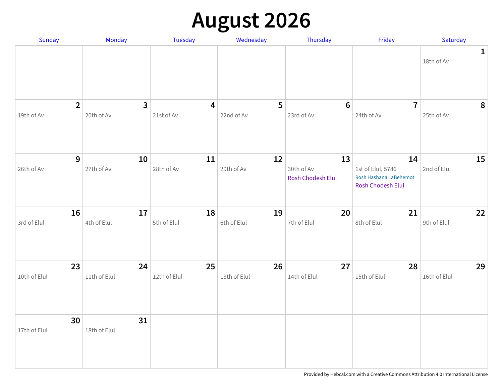## **August 2026**

| Sunday                       | Monday                       | Tuesday                               | Wednesday          | Thursday                              | Friday                                                                        | Saturday                   |
|------------------------------|------------------------------|---------------------------------------|--------------------|---------------------------------------|-------------------------------------------------------------------------------|----------------------------|
|                              |                              |                                       |                    |                                       |                                                                               | $\mathbf{1}$<br>18th of Av |
| $\overline{2}$<br>19th of Av | $\overline{3}$<br>20th of Av | $\overline{\mathbf{4}}$<br>21st of Av | 5<br>22nd of Av    | $6\phantom{1}6$<br>23rd of Av         | $\overline{7}$<br>24th of Av                                                  | 8<br>25th of Av            |
| 9<br>26th of Av              | 10<br>27th of Av             | 11<br>28th of Av                      | 12<br>29th of Av   | 13<br>30th of Av<br>Rosh Chodesh Elul | 14<br>1st of Elul, 5786<br>Rosh Hashana LaBehemot<br><b>Rosh Chodesh Elul</b> | 15<br>2nd of Elul          |
| 16<br>3rd of Elul            | 17<br>4th of Elul            | 18<br>5th of Elul                     | 19<br>6th of Elul  | 20<br>7th of Elul                     | 21<br>8th of Elul                                                             | 22<br>9th of Elul          |
| 23<br>10th of Elul           | 24<br>11th of Elul           | 25<br>12th of Elul                    | 26<br>13th of Elul | 27<br>14th of Elul                    | 28<br>15th of Elul                                                            | 29<br>16th of Elul         |
| 30<br>17th of Elul           | 31<br>18th of Elul           |                                       |                    |                                       |                                                                               |                            |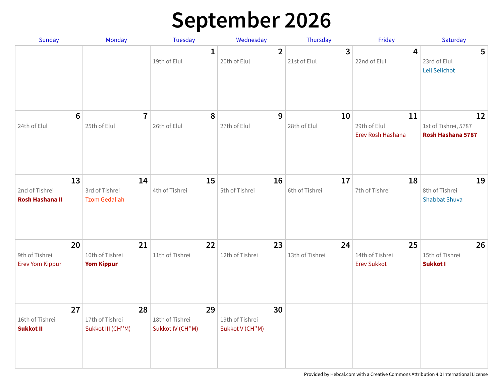## **September 2026**

| <b>Sunday</b>                                  | Monday                                            | <b>Tuesday</b>                            | Wednesday                                | Thursday              | Friday                                      | Saturday                                        |
|------------------------------------------------|---------------------------------------------------|-------------------------------------------|------------------------------------------|-----------------------|---------------------------------------------|-------------------------------------------------|
|                                                |                                                   | $\mathbf{1}$<br>19th of Elul              | $\overline{2}$<br>20th of Elul           | 3<br>21st of Elul     | 4<br>22nd of Elul                           | 5<br>23rd of Elul<br>Leil Selichot              |
| 24th of Elul                                   | $6\phantom{1}6$<br>$\overline{7}$<br>25th of Elul | 8<br>26th of Elul                         | 9<br>27th of Elul                        | 10<br>28th of Elul    | 11<br>29th of Elul<br>Erev Rosh Hashana     | 12<br>1st of Tishrei, 5787<br>Rosh Hashana 5787 |
| 13<br>2nd of Tishrei<br><b>Rosh Hashana II</b> | 14<br>3rd of Tishrei<br><b>Tzom Gedaliah</b>      | 15<br>4th of Tishrei                      | 16<br>5th of Tishrei                     | 17<br>6th of Tishrei  | 18<br>7th of Tishrei                        | 19<br>8th of Tishrei<br><b>Shabbat Shuva</b>    |
| 20<br>9th of Tishrei<br><b>Erev Yom Kippur</b> | 21<br>10th of Tishrei<br><b>Yom Kippur</b>        | 22<br>11th of Tishrei                     | 23<br>12th of Tishrei                    | 24<br>13th of Tishrei | 25<br>14th of Tishrei<br><b>Erev Sukkot</b> | 26<br>15th of Tishrei<br><b>Sukkot I</b>        |
| 27<br>16th of Tishrei<br><b>Sukkot II</b>      | 28<br>17th of Tishrei<br>Sukkot III (CH"M)        | 29<br>18th of Tishrei<br>Sukkot IV (CH"M) | 30<br>19th of Tishrei<br>Sukkot V (CH"M) |                       |                                             |                                                 |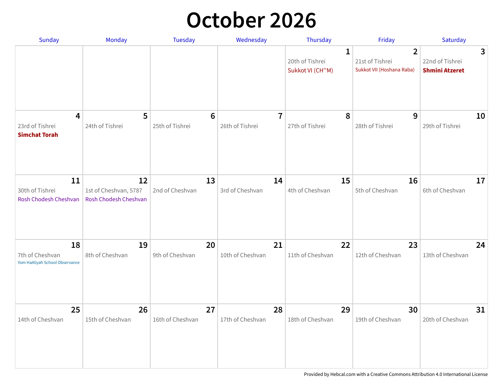#### **October 2026**

| Sunday                                                  | Monday                                               | Tuesday                            | Wednesday                         | Thursday                                 | Friday                                                         | Saturday                                      |
|---------------------------------------------------------|------------------------------------------------------|------------------------------------|-----------------------------------|------------------------------------------|----------------------------------------------------------------|-----------------------------------------------|
|                                                         |                                                      |                                    |                                   | 1<br>20th of Tishrei<br>Sukkot VI (CH"M) | $\overline{2}$<br>21st of Tishrei<br>Sukkot VII (Hoshana Raba) | 3<br>22nd of Tishrei<br><b>Shmini Atzeret</b> |
| 4<br>23rd of Tishrei<br><b>Simchat Torah</b>            | 5<br>24th of Tishrei                                 | $6\phantom{1}6$<br>25th of Tishrei | $\overline{7}$<br>26th of Tishrei | 8<br>27th of Tishrei                     | 9<br>28th of Tishrei                                           | 10<br>29th of Tishrei                         |
| 11<br>30th of Tishrei<br>Rosh Chodesh Cheshvan          | 12<br>1st of Cheshvan, 5787<br>Rosh Chodesh Cheshvan | 13<br>2nd of Cheshvan              | 14<br>3rd of Cheshvan             | 15<br>4th of Cheshvan                    | 16<br>5th of Cheshvan                                          | 17<br>6th of Cheshvan                         |
| 18<br>7th of Cheshvan<br>Yom HaAliyah School Observance | 19<br>8th of Cheshvan                                | 20<br>9th of Cheshvan              | 21<br>10th of Cheshvan            | 22<br>11th of Cheshvan                   | 23<br>12th of Cheshvan                                         | 24<br>13th of Cheshvan                        |
| 25<br>14th of Cheshvan                                  | 26<br>15th of Cheshvan                               | 27<br>16th of Cheshvan             | 28<br>17th of Cheshvan            | 29<br>18th of Cheshvan                   | 30<br>19th of Cheshvan                                         | 31<br>20th of Cheshvan                        |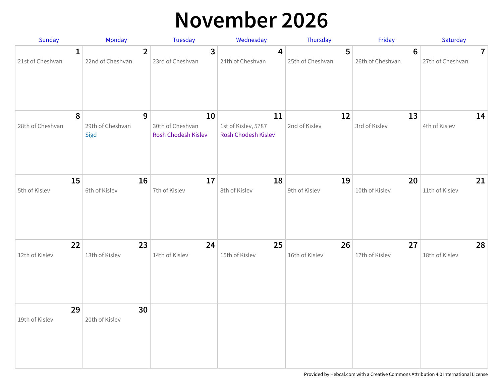## **November 2026**

| Sunday                | Monday                        | <b>Tuesday</b>                                | Wednesday                                        | Thursday            | Friday              | Saturday            |
|-----------------------|-------------------------------|-----------------------------------------------|--------------------------------------------------|---------------------|---------------------|---------------------|
| 1                     | $\overline{2}$                | 3                                             | 4                                                | 5                   | 6                   | $\mathbf{7}$        |
| 21st of Cheshvan      | 22nd of Cheshvan              | 23rd of Cheshvan                              | 24th of Cheshvan                                 | 25th of Cheshvan    | 26th of Cheshvan    | 27th of Cheshvan    |
| 8<br>28th of Cheshvan | 9<br>29th of Cheshvan<br>Sigd | 10<br>30th of Cheshvan<br>Rosh Chodesh Kislev | 11<br>1st of Kislev, 5787<br>Rosh Chodesh Kislev | 12<br>2nd of Kislev | 13<br>3rd of Kislev | 14<br>4th of Kislev |
| 15                    | 16                            | 17                                            | 18                                               | 19                  | 20                  | 21                  |
| 5th of Kislev         | 6th of Kislev                 | 7th of Kislev                                 | 8th of Kislev                                    | 9th of Kislev       | 10th of Kislev      | 11th of Kislev      |
| 22                    | 23                            | 24                                            | 25                                               | 26                  | 27                  | 28                  |
| 12th of Kislev        | 13th of Kislev                | 14th of Kislev                                | 15th of Kislev                                   | 16th of Kislev      | 17th of Kislev      | 18th of Kislev      |
| 29<br>19th of Kislev  | 30<br>20th of Kislev          |                                               |                                                  |                     |                     |                     |